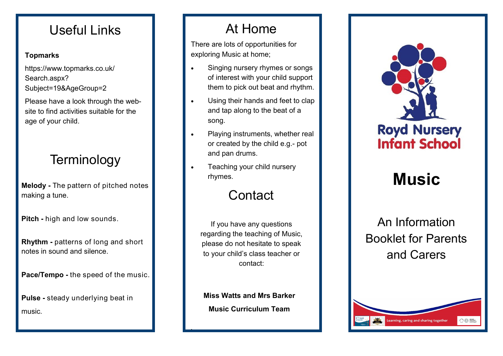#### Useful Links

#### **Topmarks**

https://www.topmarks.co.uk/ Search.aspx? Subject=19&AgeGroup=2

Please have a look through the website to find activities suitable for the age of your child.

## **Terminology**

**Melody -** The pattern of pitched notes making a tune.

**Pitch -** high and low sounds.

**Rhythm -** patterns of long and short notes in sound and silence.

**Pace/Tempo -** the speed of the music.

**Pulse -** steady underlying beat in music.

#### At Home

There are lots of opportunities for exploring Music at home;

- Singing nursery rhymes or songs of interest with your child support them to pick out beat and rhythm.
- Using their hands and feet to clap and tap along to the beat of a song.
- Playing instruments, whether real or created by the child e.g.- pot and pan drums.
- Teaching your child nursery rhymes.

## **Contact**

If you have any questions regarding the teaching of Music, please do not hesitate to speak to your child's class teacher or contact:

**Miss Watts and Mrs Barker Music Curriculum Team**

.



# **Music**

An Information Booklet for Parents and Carers